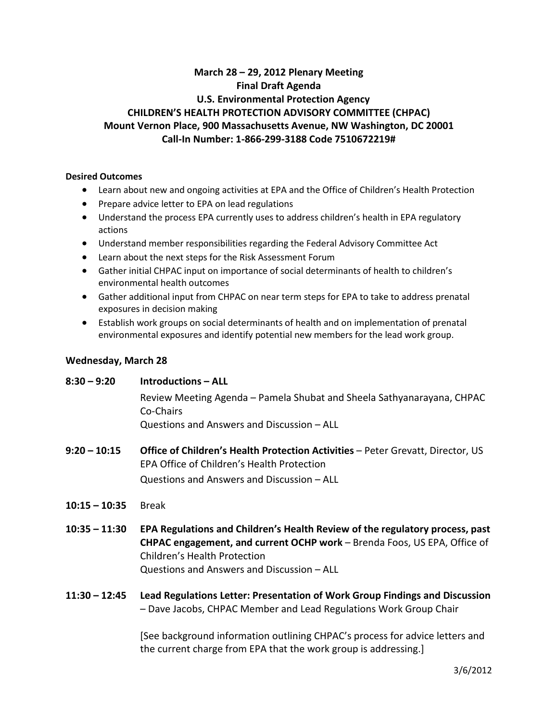# **March 28 – 29, 2012 Plenary Meeting Final Draft Agenda U.S. Environmental Protection Agency CHILDREN'S HEALTH PROTECTION ADVISORY COMMITTEE (CHPAC) Mount Vernon Place, 900 Massachusetts Avenue, NW Washington, DC 20001 Call-In Number: 1-866-299-3188 Code 7510672219#**

### **Desired Outcomes**

- Learn about new and ongoing activities at EPA and the Office of Children's Health Protection
- Prepare advice letter to EPA on lead regulations
- Understand the process EPA currently uses to address children's health in EPA regulatory actions
- Understand member responsibilities regarding the Federal Advisory Committee Act
- Learn about the next steps for the Risk Assessment Forum
- Gather initial CHPAC input on importance of social determinants of health to children's environmental health outcomes
- Gather additional input from CHPAC on near term steps for EPA to take to address prenatal exposures in decision making
- Establish work groups on social determinants of health and on implementation of prenatal environmental exposures and identify potential new members for the lead work group.

### **Wednesday, March 28**

### **8:30 – 9:20 Introductions – ALL**

Review Meeting Agenda – Pamela Shubat and Sheela Sathyanarayana, CHPAC Co-Chairs

Questions and Answers and Discussion – ALL

- **9:20 – 10:15 Office of Children's Health Protection Activities** Peter Grevatt, Director, US EPA Office of Children's Health Protection Questions and Answers and Discussion – ALL
- **10:15 – 10:35** Break
- **10:35 – 11:30 EPA Regulations and Children's Health Review of the regulatory process, past CHPAC engagement, and current OCHP work** – Brenda Foos, US EPA, Office of Children's Health Protection Questions and Answers and Discussion – ALL
- **11:30 – 12:45 Lead Regulations Letter: Presentation of Work Group Findings and Discussion** – Dave Jacobs, CHPAC Member and Lead Regulations Work Group Chair

[See background information outlining CHPAC's process for advice letters and the current charge from EPA that the work group is addressing.]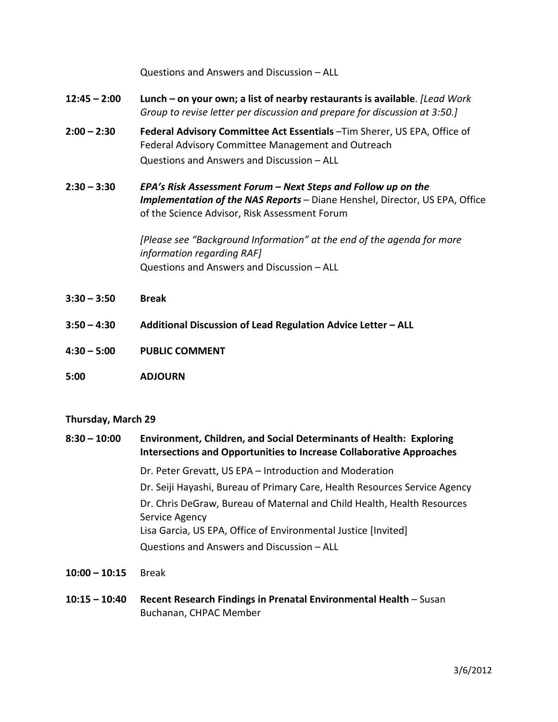Questions and Answers and Discussion – ALL

- **12:45 – 2:00 Lunch – on your own; a list of nearby restaurants is available**. *[Lead Work Group to revise letter per discussion and prepare for discussion at 3:50.]*
- **2:00 – 2:30 Federal Advisory Committee Act Essentials** –Tim Sherer, US EPA, Office of Federal Advisory Committee Management and Outreach Questions and Answers and Discussion – ALL
- **2:30 – 3:30** *EPA's Risk Assessment Forum – Next Steps and Follow up on the Implementation of the NAS Reports* – Diane Henshel, Director, US EPA, Office of the Science Advisor, Risk Assessment Forum

*[Please see "Background Information" at the end of the agenda for more information regarding RAF]* Questions and Answers and Discussion – ALL

- **3:30 – 3:50 Break**
- **3:50 – 4:30 Additional Discussion of Lead Regulation Advice Letter – ALL**
- **4:30 – 5:00 PUBLIC COMMENT**
- **5:00 ADJOURN**

### **Thursday, March 29**

- **8:30 – 10:00 Environment, Children, and Social Determinants of Health: Exploring Intersections and Opportunities to Increase Collaborative Approaches**  Dr. Peter Grevatt, US EPA – Introduction and Moderation Dr. Seiji Hayashi, Bureau of Primary Care, Health Resources Service Agency Dr. Chris DeGraw, Bureau of Maternal and Child Health, Health Resources Service Agency Lisa Garcia, US EPA, Office of Environmental Justice [Invited] Questions and Answers and Discussion – ALL
- **10:00 – 10:15** Break
- **10:15 – 10:40 Recent Research Findings in Prenatal Environmental Health**  Susan Buchanan, CHPAC Member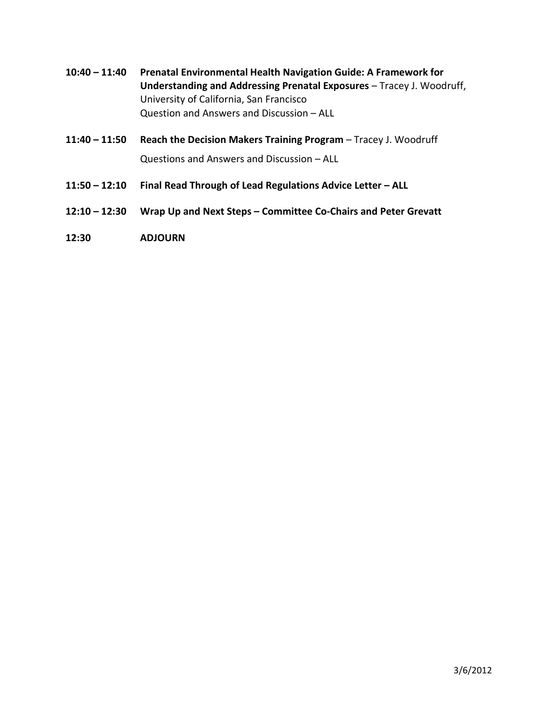- **10:40 – 11:40 Prenatal Environmental Health Navigation Guide: A Framework for Understanding and Addressing Prenatal Exposures** – Tracey J. Woodruff, University of California, San Francisco Question and Answers and Discussion – ALL
- **11:40 – 11:50 Reach the Decision Makers Training Program** Tracey J. Woodruff Questions and Answers and Discussion – ALL
- **11:50 – 12:10 Final Read Through of Lead Regulations Advice Letter – ALL**
- **12:10 – 12:30 Wrap Up and Next Steps – Committee Co-Chairs and Peter Grevatt**
- **12:30 ADJOURN**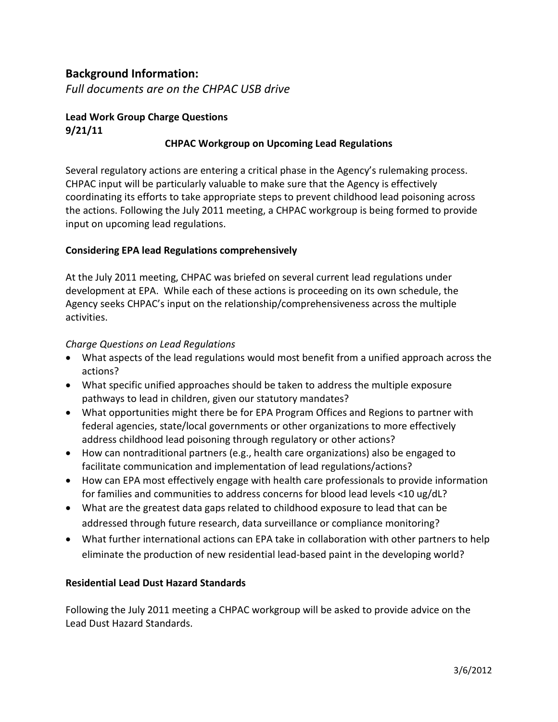# **Background Information:**

*Full documents are on the CHPAC USB drive*

# **Lead Work Group Charge Questions 9/21/11**

## **CHPAC Workgroup on Upcoming Lead Regulations**

Several regulatory actions are entering a critical phase in the Agency's rulemaking process. CHPAC input will be particularly valuable to make sure that the Agency is effectively coordinating its efforts to take appropriate steps to prevent childhood lead poisoning across the actions. Following the July 2011 meeting, a CHPAC workgroup is being formed to provide input on upcoming lead regulations.

## **Considering EPA lead Regulations comprehensively**

At the July 2011 meeting, CHPAC was briefed on several current lead regulations under development at EPA. While each of these actions is proceeding on its own schedule, the Agency seeks CHPAC's input on the relationship/comprehensiveness across the multiple activities.

## *Charge Questions on Lead Regulations*

- What aspects of the lead regulations would most benefit from a unified approach across the actions?
- What specific unified approaches should be taken to address the multiple exposure pathways to lead in children, given our statutory mandates?
- What opportunities might there be for EPA Program Offices and Regions to partner with federal agencies, state/local governments or other organizations to more effectively address childhood lead poisoning through regulatory or other actions?
- How can nontraditional partners (e.g., health care organizations) also be engaged to facilitate communication and implementation of lead regulations/actions?
- How can EPA most effectively engage with health care professionals to provide information for families and communities to address concerns for blood lead levels <10 ug/dL?
- What are the greatest data gaps related to childhood exposure to lead that can be addressed through future research, data surveillance or compliance monitoring?
- What further international actions can EPA take in collaboration with other partners to help eliminate the production of new residential lead-based paint in the developing world?

## **Residential Lead Dust Hazard Standards**

Following the July 2011 meeting a CHPAC workgroup will be asked to provide advice on the Lead Dust Hazard Standards.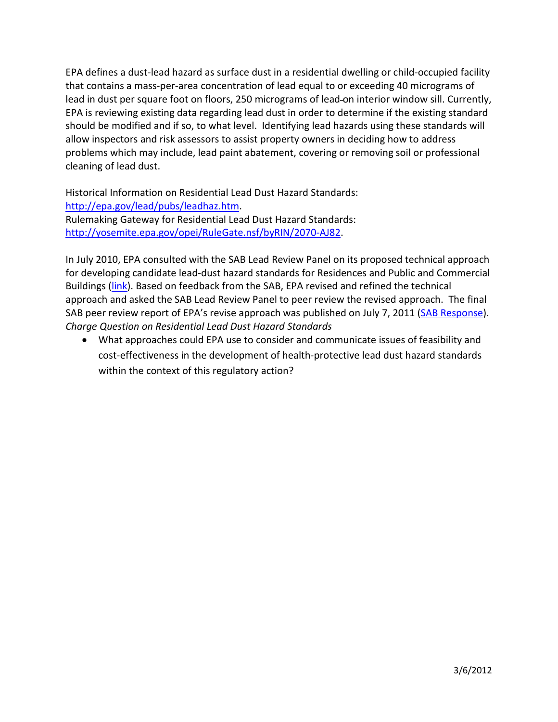EPA defines a dust-lead hazard as surface dust in a residential dwelling or child-occupied facility that contains a mass-per-area concentration of lead equal to or exceeding 40 micrograms of lead in dust per square foot on floors, 250 micrograms of lead on interior window sill. Currently, EPA is reviewing existing data regarding lead dust in order to determine if the existing standard should be modified and if so, to what level. Identifying lead hazards using these standards will allow inspectors and risk assessors to assist property owners in deciding how to address problems which may include, lead paint abatement, covering or removing soil or professional cleaning of lead dust.

Historical Information on Residential Lead Dust Hazard Standards: [http://epa.gov/lead/pubs/leadhaz.htm.](http://epa.gov/lead/pubs/leadhaz.htm) Rulemaking Gateway for Residential Lead Dust Hazard Standards: [http://yosemite.epa.gov/opei/RuleGate.nsf/byRIN/2070-AJ82.](http://yosemite.epa.gov/opei/RuleGate.nsf/byRIN/2070-AJ82)

In July 2010, EPA consulted with the SAB Lead Review Panel on its proposed technical approach for developing candidate lead-dust hazard standards for Residences and Public and Commercial Buildings [\(link\)](http://yosemite.epa.gov/sab/sabproduct.nsf/fedrgstr_activites/Lead%20Paint%20Hazard%20Standards!OpenDocument&TableRow=2.0). Based on feedback from the SAB, EPA revised and refined the technical approach and asked the SAB Lead Review Panel to peer review the revised approach. The final SAB peer review report of EPA's revise approach was published on July 7, 2011 [\(SAB Response\)](http://yosemite.epa.gov/sab/sabproduct.nsf/fedrgstr_activites/CD05EA314294B683852578C60060FB08/$File/EPA-SAB-11-008-unsigned-revised.pdf). *Charge Question on Residential Lead Dust Hazard Standards*

• What approaches could EPA use to consider and communicate issues of feasibility and cost-effectiveness in the development of health-protective lead dust hazard standards within the context of this regulatory action?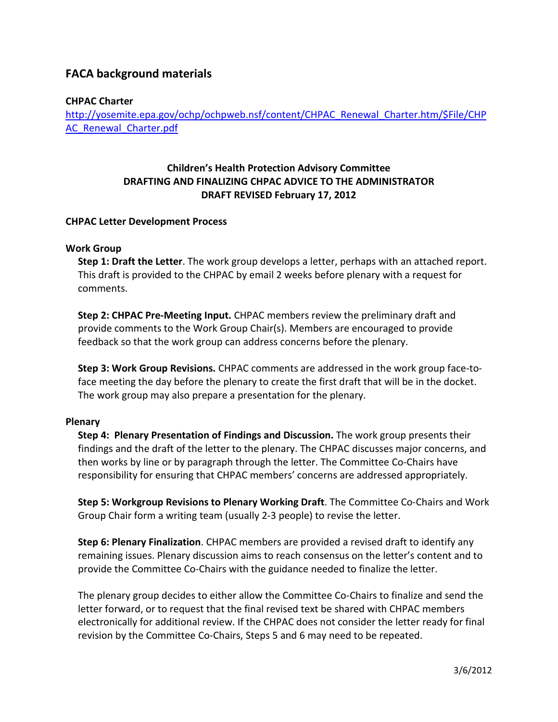# **FACA background materials**

## **CHPAC Charter**

[http://yosemite.epa.gov/ochp/ochpweb.nsf/content/CHPAC\\_Renewal\\_Charter.htm/\\$File/CHP](http://yosemite.epa.gov/ochp/ochpweb.nsf/content/CHPAC_Renewal_Charter.htm/$File/CHPAC_Renewal_Charter.pdf) [AC\\_Renewal\\_Charter.pdf](http://yosemite.epa.gov/ochp/ochpweb.nsf/content/CHPAC_Renewal_Charter.htm/$File/CHPAC_Renewal_Charter.pdf)

# **Children's Health Protection Advisory Committee DRAFTING AND FINALIZING CHPAC ADVICE TO THE ADMINISTRATOR DRAFT REVISED February 17, 2012**

### **CHPAC Letter Development Process**

### **Work Group**

**Step 1: Draft the Letter**. The work group develops a letter, perhaps with an attached report. This draft is provided to the CHPAC by email 2 weeks before plenary with a request for comments.

**Step 2: CHPAC Pre-Meeting Input.** CHPAC members review the preliminary draft and provide comments to the Work Group Chair(s). Members are encouraged to provide feedback so that the work group can address concerns before the plenary.

**Step 3: Work Group Revisions.** CHPAC comments are addressed in the work group face-toface meeting the day before the plenary to create the first draft that will be in the docket. The work group may also prepare a presentation for the plenary.

### **Plenary**

**Step 4: Plenary Presentation of Findings and Discussion.** The work group presents their findings and the draft of the letter to the plenary. The CHPAC discusses major concerns, and then works by line or by paragraph through the letter. The Committee Co-Chairs have responsibility for ensuring that CHPAC members' concerns are addressed appropriately.

**Step 5: Workgroup Revisions to Plenary Working Draft**. The Committee Co-Chairs and Work Group Chair form a writing team (usually 2-3 people) to revise the letter.

**Step 6: Plenary Finalization**. CHPAC members are provided a revised draft to identify any remaining issues. Plenary discussion aims to reach consensus on the letter's content and to provide the Committee Co-Chairs with the guidance needed to finalize the letter.

The plenary group decides to either allow the Committee Co-Chairs to finalize and send the letter forward, or to request that the final revised text be shared with CHPAC members electronically for additional review. If the CHPAC does not consider the letter ready for final revision by the Committee Co-Chairs, Steps 5 and 6 may need to be repeated.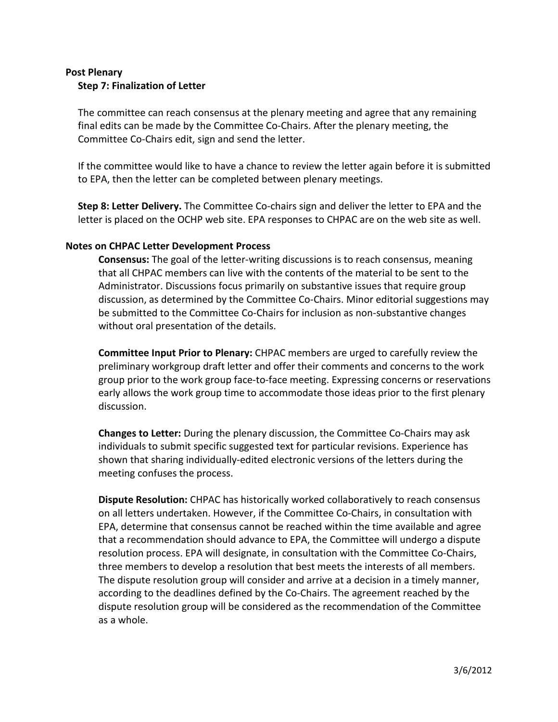### **Post Plenary Step 7: Finalization of Letter**

The committee can reach consensus at the plenary meeting and agree that any remaining final edits can be made by the Committee Co-Chairs. After the plenary meeting, the Committee Co-Chairs edit, sign and send the letter.

If the committee would like to have a chance to review the letter again before it is submitted to EPA, then the letter can be completed between plenary meetings.

**Step 8: Letter Delivery.** The Committee Co-chairs sign and deliver the letter to EPA and the letter is placed on the OCHP web site. EPA responses to CHPAC are on the web site as well.

### **Notes on CHPAC Letter Development Process**

**Consensus:** The goal of the letter-writing discussions is to reach consensus, meaning that all CHPAC members can live with the contents of the material to be sent to the Administrator. Discussions focus primarily on substantive issues that require group discussion, as determined by the Committee Co-Chairs. Minor editorial suggestions may be submitted to the Committee Co-Chairs for inclusion as non-substantive changes without oral presentation of the details.

**Committee Input Prior to Plenary:** CHPAC members are urged to carefully review the preliminary workgroup draft letter and offer their comments and concerns to the work group prior to the work group face-to-face meeting. Expressing concerns or reservations early allows the work group time to accommodate those ideas prior to the first plenary discussion.

**Changes to Letter:** During the plenary discussion, the Committee Co-Chairs may ask individuals to submit specific suggested text for particular revisions. Experience has shown that sharing individually-edited electronic versions of the letters during the meeting confuses the process.

**Dispute Resolution:** CHPAC has historically worked collaboratively to reach consensus on all letters undertaken. However, if the Committee Co-Chairs, in consultation with EPA, determine that consensus cannot be reached within the time available and agree that a recommendation should advance to EPA, the Committee will undergo a dispute resolution process. EPA will designate, in consultation with the Committee Co-Chairs, three members to develop a resolution that best meets the interests of all members. The dispute resolution group will consider and arrive at a decision in a timely manner, according to the deadlines defined by the Co-Chairs. The agreement reached by the dispute resolution group will be considered as the recommendation of the Committee as a whole.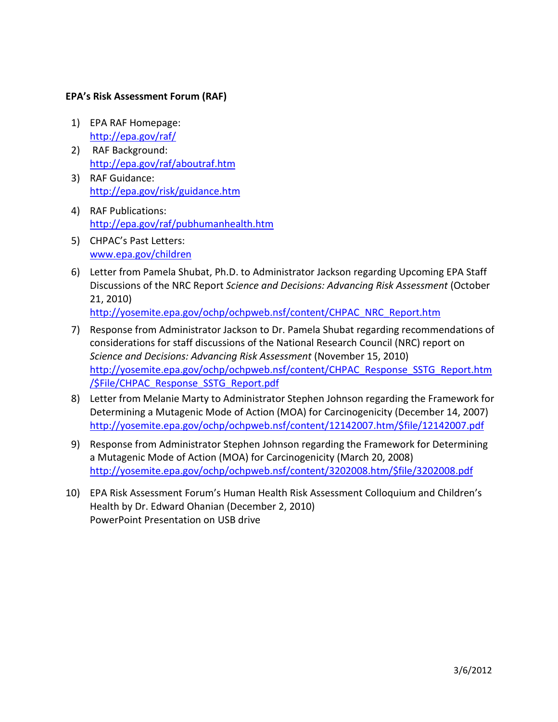## **EPA's Risk Assessment Forum (RAF)**

- 1) EPA RAF Homepage: <http://epa.gov/raf/>
- 2) RAF Background: <http://epa.gov/raf/aboutraf.htm>
- 3) RAF Guidance: <http://epa.gov/risk/guidance.htm>
- 4) RAF Publications: <http://epa.gov/raf/pubhumanhealth.htm>
- 5) CHPAC's Past Letters: [www.epa.gov/children](http://www.epa.gov/children)
- 6) Letter from Pamela Shubat, Ph.D. to Administrator Jackson regarding Upcoming EPA Staff Discussions of the NRC Report *Science and Decisions: Advancing Risk Assessment* (October 21, 2010)

[http://yosemite.epa.gov/ochp/ochpweb.nsf/content/CHPAC\\_NRC\\_Report.htm](http://yosemite.epa.gov/ochp/ochpweb.nsf/content/CHPAC_NRC_Report.htm)

- 7) Response from Administrator Jackson to Dr. Pamela Shubat regarding recommendations of considerations for staff discussions of the National Research Council (NRC) report on *Science and Decisions: Advancing Risk Assessment* (November 15, 2010) [http://yosemite.epa.gov/ochp/ochpweb.nsf/content/CHPAC\\_Response\\_SSTG\\_Report.htm](http://yosemite.epa.gov/ochp/ochpweb.nsf/content/CHPAC_Response_SSTG_Report.htm/$File/CHPAC_Response_SSTG_Report.pdf) [/\\$File/CHPAC\\_Response\\_SSTG\\_Report.pdf](http://yosemite.epa.gov/ochp/ochpweb.nsf/content/CHPAC_Response_SSTG_Report.htm/$File/CHPAC_Response_SSTG_Report.pdf)
- 8) Letter from Melanie Marty to Administrator Stephen Johnson regarding the Framework for Determining a Mutagenic Mode of Action (MOA) for Carcinogenicity (December 14, 2007) [http://yosemite.epa.gov/ochp/ochpweb.nsf/content/12142007.htm/\\$file/12142007.pdf](http://yosemite.epa.gov/ochp/ochpweb.nsf/content/12142007.htm/$file/12142007.pdf)
- 9) Response from Administrator Stephen Johnson regarding the Framework for Determining a Mutagenic Mode of Action (MOA) for Carcinogenicity (March 20, 2008) [http://yosemite.epa.gov/ochp/ochpweb.nsf/content/3202008.htm/\\$file/3202008.pdf](http://yosemite.epa.gov/ochp/ochpweb.nsf/content/3202008.htm/$file/3202008.pdf)
- 10) EPA Risk Assessment Forum's Human Health Risk Assessment Colloquium and Children's Health by Dr. Edward Ohanian (December 2, 2010) PowerPoint Presentation on USB drive